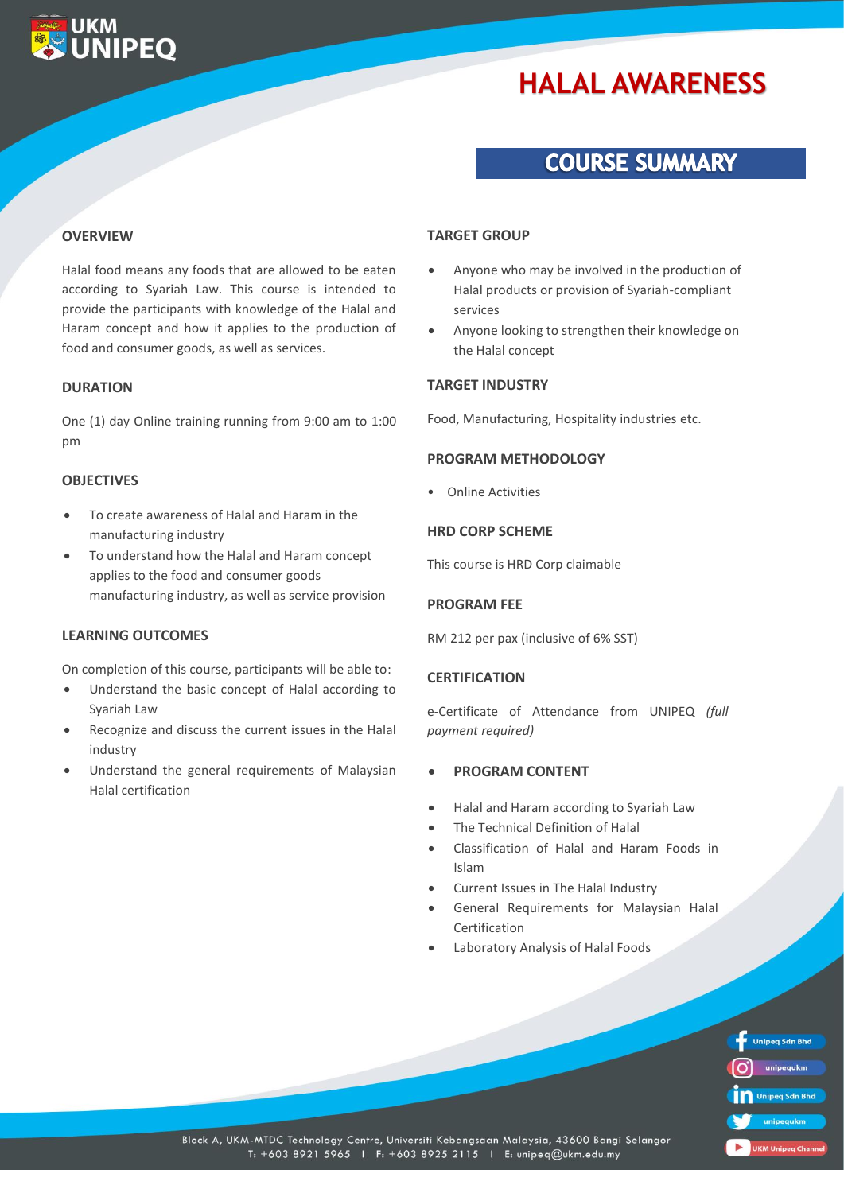# **HALAL AWARENESS**

## **COURSE SUMMARY**

#### **OVERVIEW**

**UKM** 

**VIPFO** 

Halal food means any foods that are allowed to be eaten according to Syariah Law. This course is intended to provide the participants with knowledge of the Halal and Haram concept and how it applies to the production of food and consumer goods, as well as services.

#### **DURATION**

One (1) day Online training running from 9:00 am to 1:00 pm

#### **OBJECTIVES**

- To create awareness of Halal and Haram in the manufacturing industry
- To understand how the Halal and Haram concept applies to the food and consumer goods manufacturing industry, as well as service provision

#### **LEARNING OUTCOMES**

On completion of this course, participants will be able to:

- Understand the basic concept of Halal according to Syariah Law
- Recognize and discuss the current issues in the Halal industry
- Understand the general requirements of Malaysian Halal certification

#### **TARGET GROUP**

- Anyone who may be involved in the production of Halal products or provision of Syariah-compliant services
- Anyone looking to strengthen their knowledge on the Halal concept

#### **TARGET INDUSTRY**

Food, Manufacturing, Hospitality industries etc.

#### **PROGRAM METHODOLOGY**

• Online Activities

#### **HRD CORP SCHEME**

This course is HRD Corp claimable

#### **PROGRAM FEE**

RM 212 per pax (inclusive of 6% SST)

#### **CERTIFICATION**

e-Certificate of Attendance from UNIPEQ *(full payment required)*

#### • **PROGRAM CONTENT**

- Halal and Haram according to Syariah Law
- The Technical Definition of Halal
- Classification of Halal and Haram Foods in Islam
- Current Issues in The Halal Industry
- General Requirements for Malaysian Halal Certification
- Laboratory Analysis of Halal Foods

| <b>Unipeq Sdn Bhd</b> |
|-----------------------|
| unipequkm             |
| Unipeg Sdn Bhd        |
| unipequkm             |
| <b>Millwimned</b>     |

Block A, UKM-MTDC Technology Centre, Universiti Kebangsaan Malaysia, 43600 Bangi Selangor T: +603 8921 5965 | F: +603 8925 2115 | E: unipeq@ukm.edu.my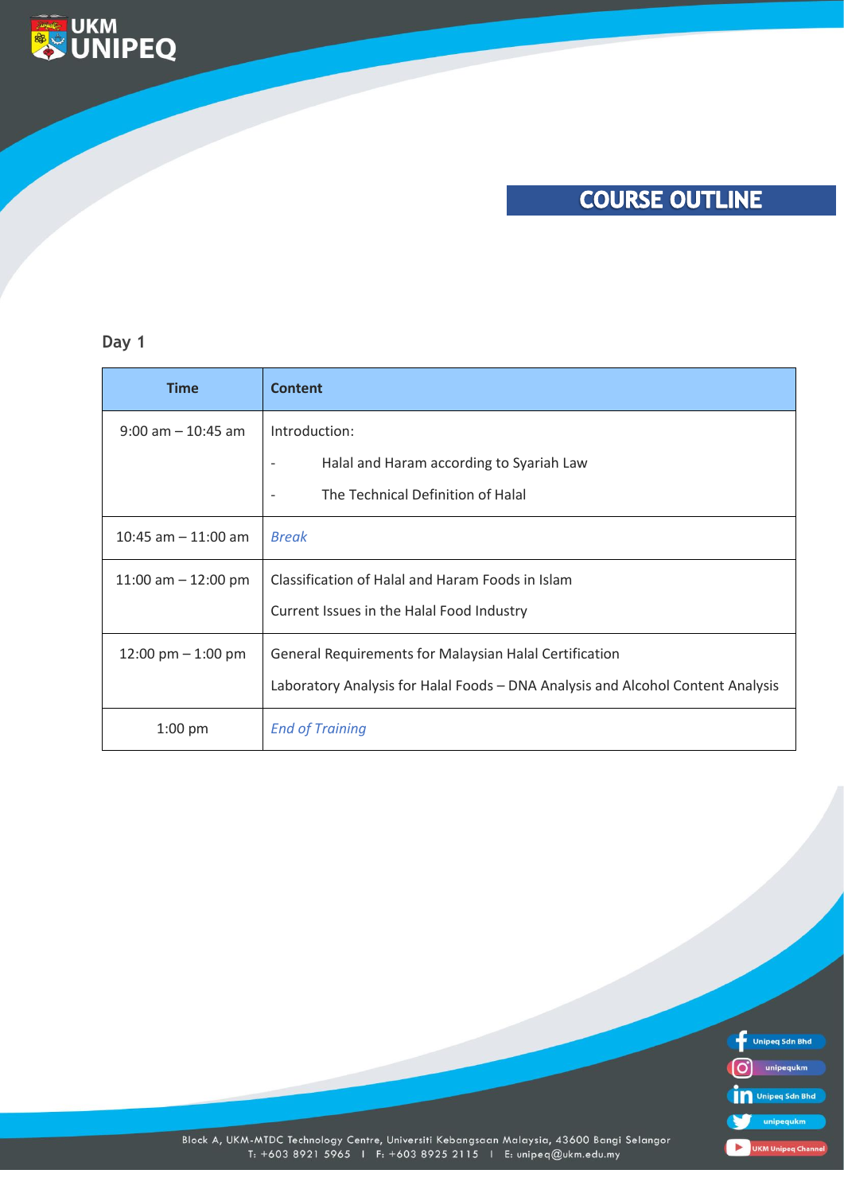

### **Day 1**

**ENDRUKM**<br> **ENDRUNIPEQ** 

| <b>Time</b>           | <b>Content</b>                                                                  |
|-----------------------|---------------------------------------------------------------------------------|
| $9:00$ am $-10:45$ am | Introduction:                                                                   |
|                       | Halal and Haram according to Syariah Law                                        |
|                       | The Technical Definition of Halal                                               |
| 10:45 am $-$ 11:00 am | <b>Break</b>                                                                    |
| 11:00 am $-$ 12:00 pm | Classification of Halal and Haram Foods in Islam                                |
|                       | Current Issues in the Halal Food Industry                                       |
| 12:00 pm $-$ 1:00 pm  | General Requirements for Malaysian Halal Certification                          |
|                       | Laboratory Analysis for Halal Foods - DNA Analysis and Alcohol Content Analysis |
| $1:00$ pm             | <b>End of Training</b>                                                          |